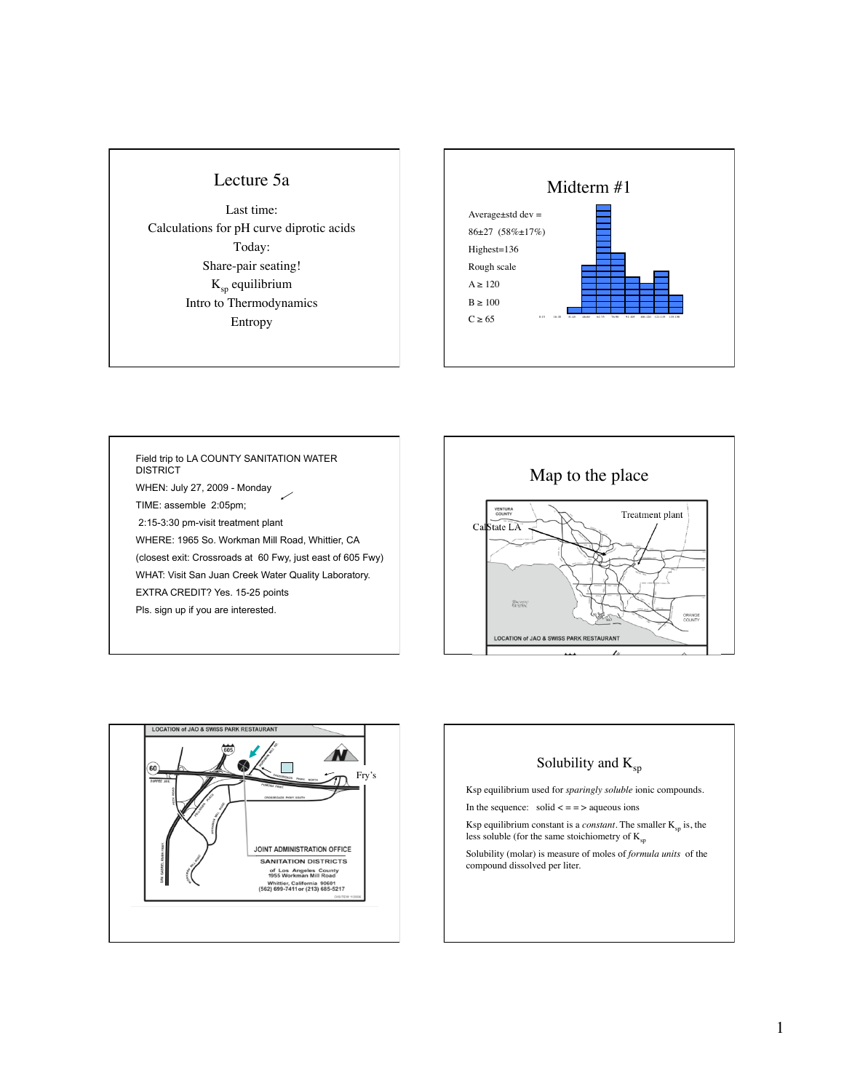#### Lecture 5a

Last time: Calculations for pH curve diprotic acids Today: Share-pair seating! Ksp equilibrium Intro to Thermodynamics Entropy



Field trip to LA COUNTY SANITATION WATER **DISTRICT** WHEN: July 27, 2009 - Monday TIME: assemble 2:05pm; 2:15-3:30 pm-visit treatment plant WHERE: 1965 So. Workman Mill Road, Whittier, CA (closest exit: Crossroads at 60 Fwy, just east of 605 Fwy) WHAT: Visit San Juan Creek Water Quality Laboratory. EXTRA CREDIT? Yes. 15-25 points Pls. sign up if you are interested.





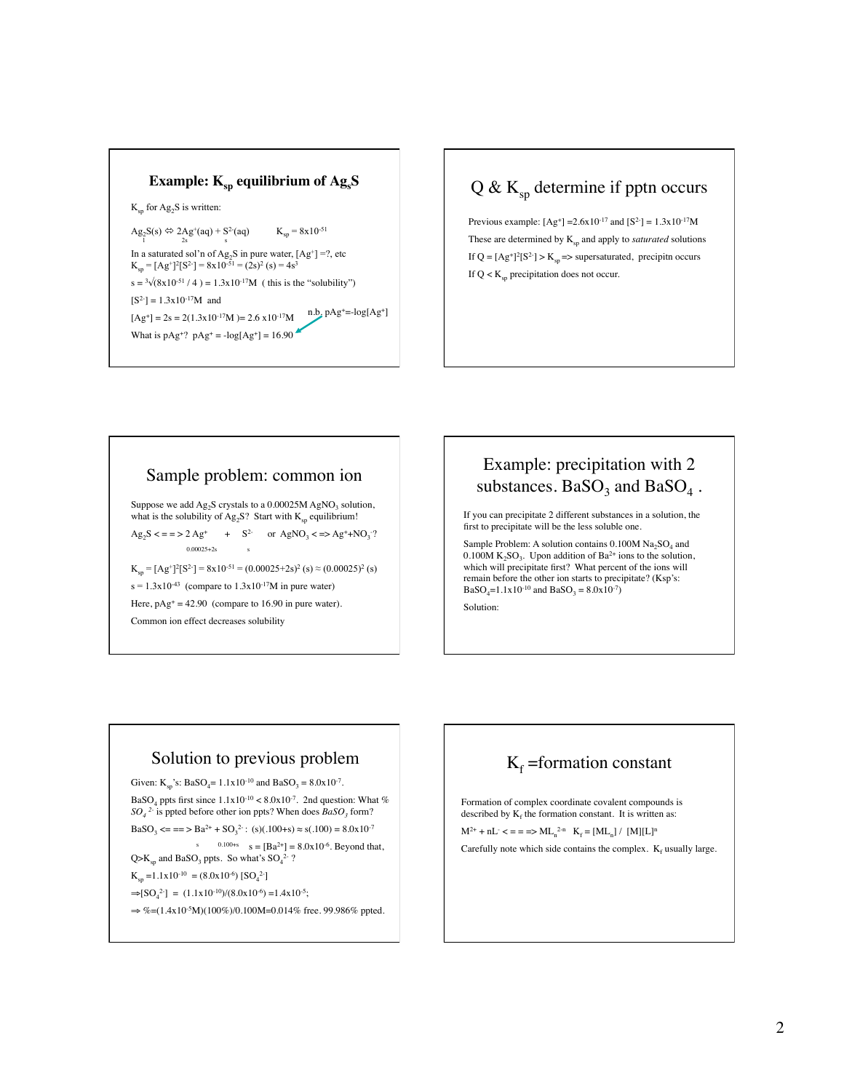

# $Q & K_{\text{sp}}$  determine if pptn occurs

Previous example:  $[Ag^+] = 2.6x10^{-17}$  and  $[S^2] = 1.3x10^{-17}M$ These are determined by  $K_{\text{sn}}$  and apply to *saturated* solutions If  $Q = [Ag^+]^2[S^2] > K_{sp}$  => supersaturated, precipitn occurs If  $Q \lt K_{\text{sp}}$  precipitation does not occur.

#### Sample problem: common ion

Suppose we add  $Ag_2S$  crystals to a 0.00025M AgNO<sub>3</sub> solution, what is the solubility of  $Ag_2S$ ? Start with  $K_{sp}$  equilibrium!

 $Ag_2S \leq s = 2Ag^+ + S^2 \text{ or } AgNO_3 \leq s \geq Ag^+ + NO_3$ ?  $0.00025 + 2s$ 

 $K_{sp} = [Ag^+]^2 [S^2] = 8x10^{-51} = (0.00025+2s)^2$  (s)  $\approx (0.00025)^2$  (s)  $s = 1.3x10^{-43}$  (compare to  $1.3x10^{-17}M$  in pure water) Here,  $pAg^+ = 42.90$  (compare to 16.90 in pure water).

Common ion effect decreases solubility

## Example: precipitation with 2 substances.  $BaSO_3$  and  $BaSO_4$ .

If you can precipitate 2 different substances in a solution, the first to precipitate will be the less soluble one.

Sample Problem: A solution contains  $0.100M$   $Na<sub>2</sub>SO<sub>4</sub>$  and 0.100M  $K_2SO_3$ . Upon addition of Ba<sup>2+</sup> ions to the solution, which will precipitate first? What percent of the ions will remain before the other ion starts to precipitate? (Ksp's:  $BaSO_4=1.1x10^{-10}$  and  $BaSO_3 = 8.0x10^{-7}$ 

Solution:

#### Solution to previous problem

Given:  $K_{sp}$ 's: BaSO<sub>4</sub>= 1.1x10<sup>-10</sup> and BaSO<sub>3</sub> = 8.0x10<sup>-7</sup>.

BaSO<sub>4</sub> ppts first since  $1.1x10^{-10} < 8.0x10^{-7}$ . 2nd question: What %  $SO_4$ <sup>2</sup> is ppted before other ion ppts? When does *BaSO<sub>3</sub>* form?

 $BaSO_3 \leq r = 5 Ba^{2+} + SO_3^{2-}$ : (s)(.100+s)  $\approx$  s(.100) = 8.0x10<sup>-7</sup>

 $s = 0.100+s$   $s = [Ba^{2+}] = 8.0x10^{-6}$ . Beyond that,

 $Q>K_{\rm sp}$  and BaSO<sub>3</sub> ppts. So what's SO<sub>4</sub><sup>2-</sup>?  $K_{sp} = 1.1 \times 10^{-10} = (8.0 \times 10^{-6}) [SO_4^2]$ 

 $\Rightarrow$ [SO<sub>4</sub><sup>2-</sup>] = (1.1x10<sup>-10</sup>)/(8.0x10<sup>-6</sup>) =1.4x10<sup>-5</sup>;

 $\Rightarrow$  %=(1.4x10<sup>-5</sup>M)(100%)/0.100M=0.014% free. 99.986% ppted.

# $K_f$  =formation constant

Formation of complex coordinate covalent compounds is described by  $K_f$  the formation constant. It is written as:

 $M^{2+} + nL^- \leq \frac{1}{2}$  =  $\frac{1}{2}$  ML<sub>n</sub><sup>2-n</sup> K<sub>f</sub> =  $\frac{[ML_n]}{[M][L]^n}$ 

Carefully note which side contains the complex.  $K_f$  usually large.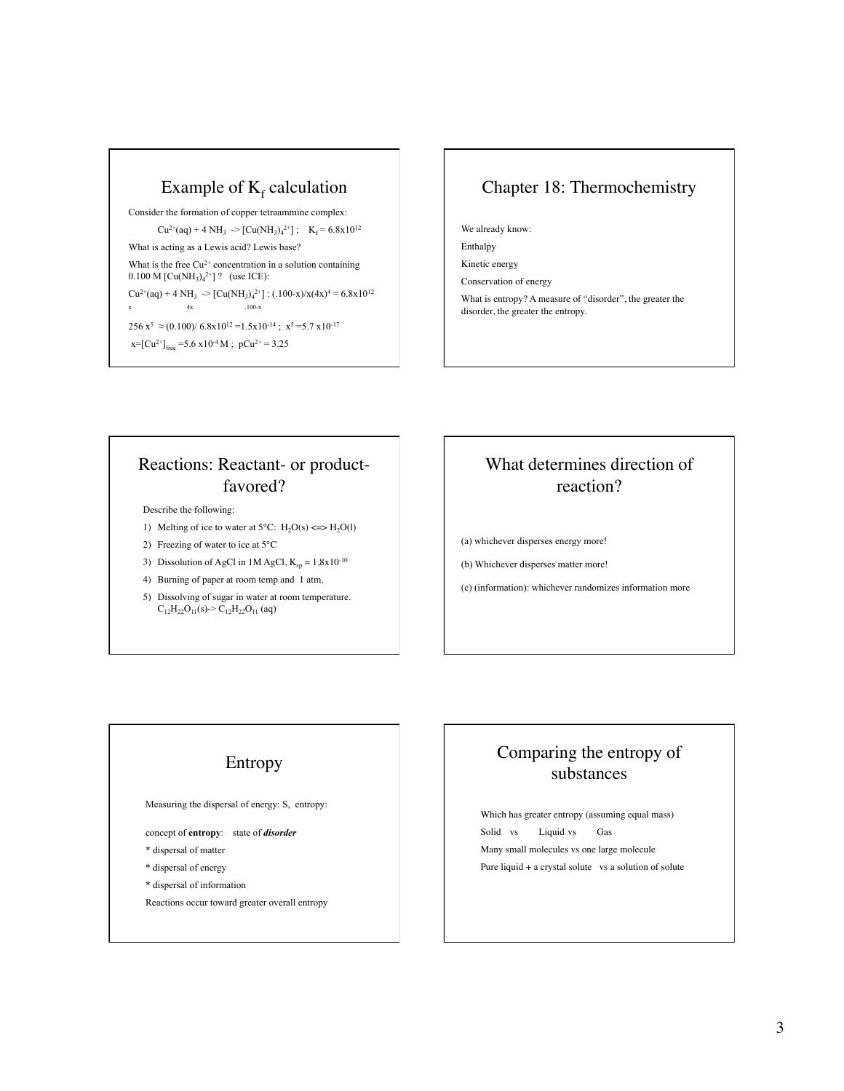# Example of  $K_f$  calculation

Consider the formation of copper tetraammine complex:  $Cu^{2+}(aq) + 4 NH_3$   $\rightarrow$   $[Cu(NH_3)_4^{2+}]$ ;  $K_f = 6.8 \times 10^{12}$ What is acting as a Lewis acid? Lewis base? What is the free  $Cu^{2+}$  concentration in a solution containing  $0.100$  M [Cu(NH<sub>3</sub>)<sub>4</sub><sup>2+</sup>] ? (use ICE):  $Cu^{2+}(aq) + 4 NH_3$   $\rightarrow$   $[Cu(NH_3)_4^{2+}]$  :  $(.100-x)/x(4x)^4 = 6.8x10^{12}$  $x \quad 4x \quad .100-x$  $256 \text{ x}^5 \approx (0.100)/6.8 \text{x} 10^{12} = 1.5 \text{x} 10^{-14}$ ;  $\text{x}^5 = 5.7 \text{ x} 10^{-17}$  $x=[Cu^{2+}]_{free}$  =5.6  $x10^{-4}$  M;  $pCu^{2+}$  = 3.25

## Chapter 18: Thermochemistry

We already know:

Enthalpy

Kinetic energy Conservation of energy

What is entropy? A measure of "disorder", the greater the disorder, the greater the entropy.

## Reactions: Reactant- or productfavored?

Describe the following:

- 1) Melting of ice to water at  $5^{\circ}$ C: H<sub>2</sub>O(s) <=> H<sub>2</sub>O(l)
- 2) Freezing of water to ice at 5°C
- 3) Dissolution of AgCl in 1M AgCl,  $K_{sp} = 1,8x10^{-10}$
- 4) Burning of paper at room temp and 1 atm.
- 5) Dissolving of sugar in water at room temperature.  $C_{12}H_{22}O_{11}(s)$ ->  $C_{12}H_{22}O_{11}(aq)$

# What determines direction of reaction?

(a) whichever disperses energy more!

(b) Whichever disperses matter more!

(c) (information): whichever randomizes information more

#### Entropy

Measuring the dispersal of energy: S, entropy:

concept of **entropy**: state of *disorder*

- \* dispersal of matter
- \* dispersal of energy
- \* dispersal of information
- Reactions occur toward greater overall entropy

## Comparing the entropy of substances

Which has greater entropy (assuming equal mass) Solid vs Liquid vs Gas Many small molecules vs one large molecule Pure liquid + a crystal solute vs a solution of solute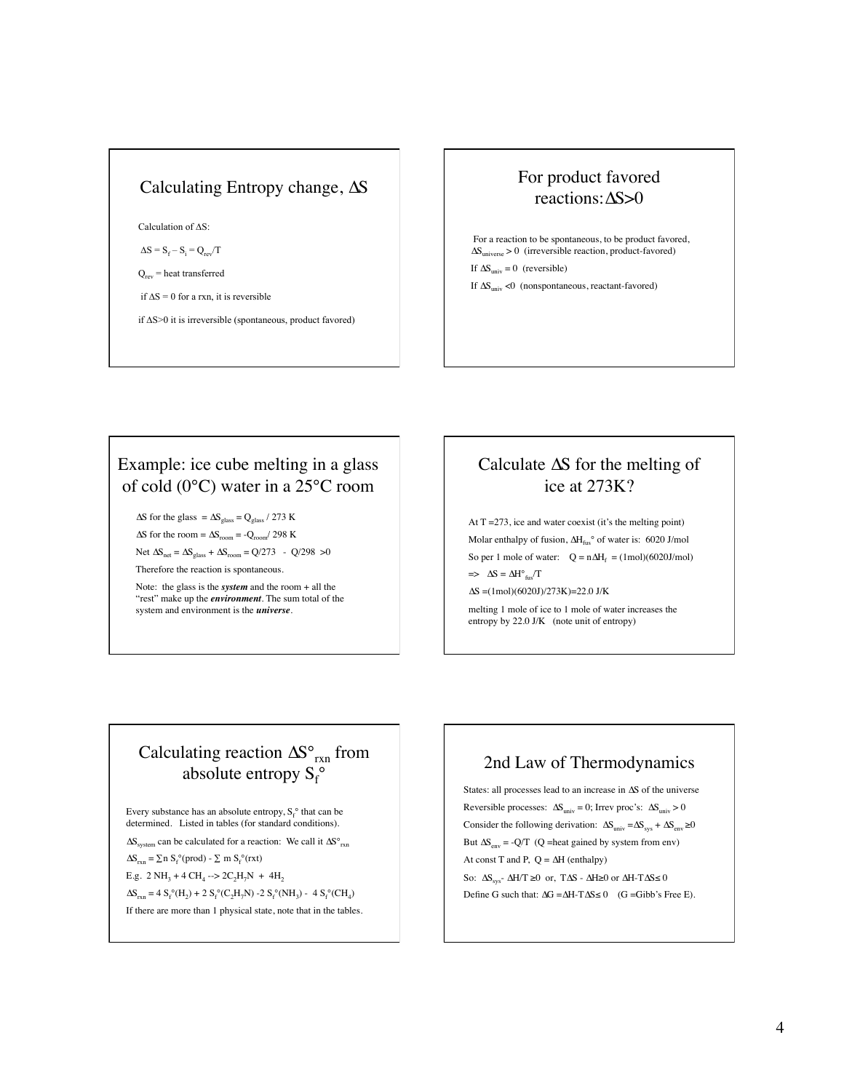### Calculating Entropy change,  $\Delta S$

Calculation of  $\Delta S$ :

 $\Delta S = S_f - S_i = Q_{rev}/T$ 

 $Q_{rev}$  = heat transferred

if  $\Delta S = 0$  for a rxn, it is reversible

if  $\Delta S > 0$  it is irreversible (spontaneous, product favored)

#### For product favored reactions: $\Delta S > 0$

 For a reaction to be spontaneous, to be product favored,  $\Delta S_{\text{universe}} > 0$  (irreversible reaction, product-favored) If  $\Delta S_{\text{univ}} = 0$  (reversible) If  $\Delta S_{\text{univ}}$  <0 (nonspontaneous, reactant-favored)

### Example: ice cube melting in a glass of cold (0°C) water in a 25°C room

 $\Delta S$  for the glass =  $\Delta S_{\text{glass}}$  = Q<sub>glass</sub> / 273 K  $\Delta S$  for the room =  $\Delta S$ <sub>room</sub> = - $Q$ <sub>room</sub>/ 298 K

Net  $\Delta S_{\text{net}} = \Delta S_{\text{glass}} + \Delta S_{\text{room}} = Q/273$  -  $Q/298 > 0$ Therefore the reaction is spontaneous.

Note: the glass is the *system* and the room + all the "rest" make up the *environment*. The sum total of the system and environment is the *universe.*

## Calculate  $\Delta S$  for the melting of ice at 273K?

At  $T = 273$ , ice and water coexist (it's the melting point) Molar enthalpy of fusion,  $\Delta H_{\text{fus}}$ ° of water is: 6020 J/mol So per 1 mole of water:  $Q = n\Delta H_f = (1 \text{ mol})(6020 \text{J/mol})$  $\Rightarrow \Delta S = \Delta H^{\circ}{}_{\text{fus}}/T$  $\Delta S = (1 \text{mol})(6020 \text{J})/273 \text{K} = 22.0 \text{ J/K}$ 

melting 1 mole of ice to 1 mole of water increases the entropy by 22.0 J/K (note unit of entropy)

# Calculating reaction  $\Delta S^{\circ}_{rxn}$  from absolute entropy  $S_f^{\circ}$

Every substance has an absolute entropy,  $S_f^{\circ}$  that can be determined. Listed in tables (for standard conditions).

 $\Delta S_{\text{system}}$  can be calculated for a reaction: We call it  $\Delta S^{\circ}_{\text{rxn}}$ 

 $\Delta S_{rxn} = \sum n S_f^{\circ} (prod) - \sum m S_f^{\circ} (rxt)$ 

E.g. 2 NH<sub>3</sub> + 4 CH<sub>4</sub> --> 2C<sub>2</sub>H<sub>7</sub>N + 4H<sub>2</sub>

 $\Delta S_{rxn} = 4 S_f^{\circ}(H_2) + 2 S_f^{\circ}(C_2H_7N) - 2 S_f^{\circ}(NH_3) - 4 S_f^{\circ}(CH_4)$ 

If there are more than 1 physical state, note that in the tables.

#### 2nd Law of Thermodynamics

States: all processes lead to an increase in  $\Delta S$  of the universe Reversible processes:  $\Delta S_{\text{univ}} = 0$ ; Irrev proc's:  $\Delta S_{\text{univ}} > 0$ Consider the following derivation:  $\Delta S_{\text{univ}} = \Delta S_{\text{sys}} + \Delta S_{\text{env}} \ge 0$ But  $\Delta S_{env} = -Q/T$  (Q =heat gained by system from env) At const T and P,  $Q = \Delta H$  (enthalpy) So:  $\Delta S_{sys}$ -  $\Delta H/T \ge 0$  or,  $T\Delta S$  -  $\Delta H \ge 0$  or  $\Delta H$ - $T\Delta S \le 0$ Define G such that:  $\Delta G = \Delta H - T \Delta S \le 0$  (G = Gibb's Free E).